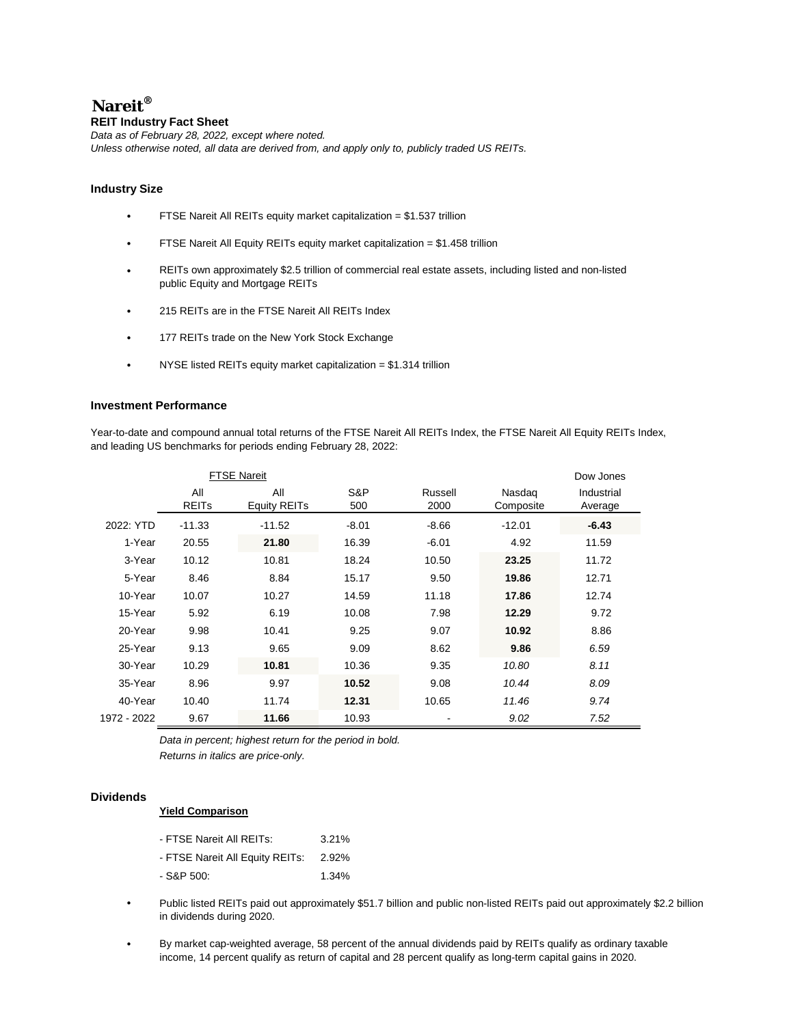# **Nareit®**

### **REIT Industry Fact Sheet**

*Data as of February 28, 2022, except where noted. Unless otherwise noted, all data are derived from, and apply only to, publicly traded US REITs.*

#### **Industry Size**

- FTSE Nareit All REITs equity market capitalization = \$1.537 trillion
- FTSE Nareit All Equity REITs equity market capitalization = \$1.458 trillion
- REITs own approximately \$2.5 trillion of commercial real estate assets, including listed and non-listed public Equity and Mortgage REITs
- 215 REITs are in the FTSE Nareit All REITs Index
- 177 REITs trade on the New York Stock Exchange
- NYSE listed REITs equity market capitalization = \$1.314 trillion  $\cdot$

#### **Investment Performance**

Year-to-date and compound annual total returns of the FTSE Nareit All REITs Index, the FTSE Nareit All Equity REITs Index, and leading US benchmarks for periods ending February 28, 2022:

|             |                         | <b>FTSE Nareit</b>  |         |         |           | Dow Jones  |
|-------------|-------------------------|---------------------|---------|---------|-----------|------------|
|             | All                     | All                 |         | Russell | Nasdag    | Industrial |
|             | <b>REIT<sub>s</sub></b> | <b>Equity REITs</b> | 500     | 2000    | Composite | Average    |
| 2022: YTD   | $-11.33$                | $-11.52$            | $-8.01$ | -8.66   | $-12.01$  | -6.43      |
| 1-Year      | 20.55                   | 21.80               | 16.39   | $-6.01$ | 4.92      | 11.59      |
| 3-Year      | 10.12                   | 10.81               | 18.24   | 10.50   | 23.25     | 11.72      |
| 5-Year      | 8.46                    | 8.84                | 15.17   | 9.50    | 19.86     | 12.71      |
| 10-Year     | 10.07                   | 10.27               | 14.59   | 11.18   | 17.86     | 12.74      |
| 15-Year     | 5.92                    | 6.19                | 10.08   | 7.98    | 12.29     | 9.72       |
| 20-Year     | 9.98                    | 10.41               | 9.25    | 9.07    | 10.92     | 8.86       |
| 25-Year     | 9.13                    | 9.65                | 9.09    | 8.62    | 9.86      | 6.59       |
| 30-Year     | 10.29                   | 10.81               | 10.36   | 9.35    | 10.80     | 8.11       |
| 35-Year     | 8.96                    | 9.97                | 10.52   | 9.08    | 10.44     | 8.09       |
| 40-Year     | 10.40                   | 11.74               | 12.31   | 10.65   | 11.46     | 9.74       |
| 1972 - 2022 | 9.67                    | 11.66               | 10.93   |         | 9.02      | 7.52       |

*Data in percent; highest return for the period in bold. Returns in italics are price-only.*

#### **Dividends**

#### **Yield Comparison**

| - FTSE Nareit All REITs:        | 3.21% |
|---------------------------------|-------|
| - FTSE Nareit All Equity REITs: | 2.92% |
| - S&P 500:                      | 1.34% |

- Public listed REITs paid out approximately \$51.7 billion and public non-listed REITs paid out approximately \$2.2 billion in dividends during 2020.
- By market cap-weighted average, 58 percent of the annual dividends paid by REITs qualify as ordinary taxable income, 14 percent qualify as return of capital and 28 percent qualify as long-term capital gains in 2020.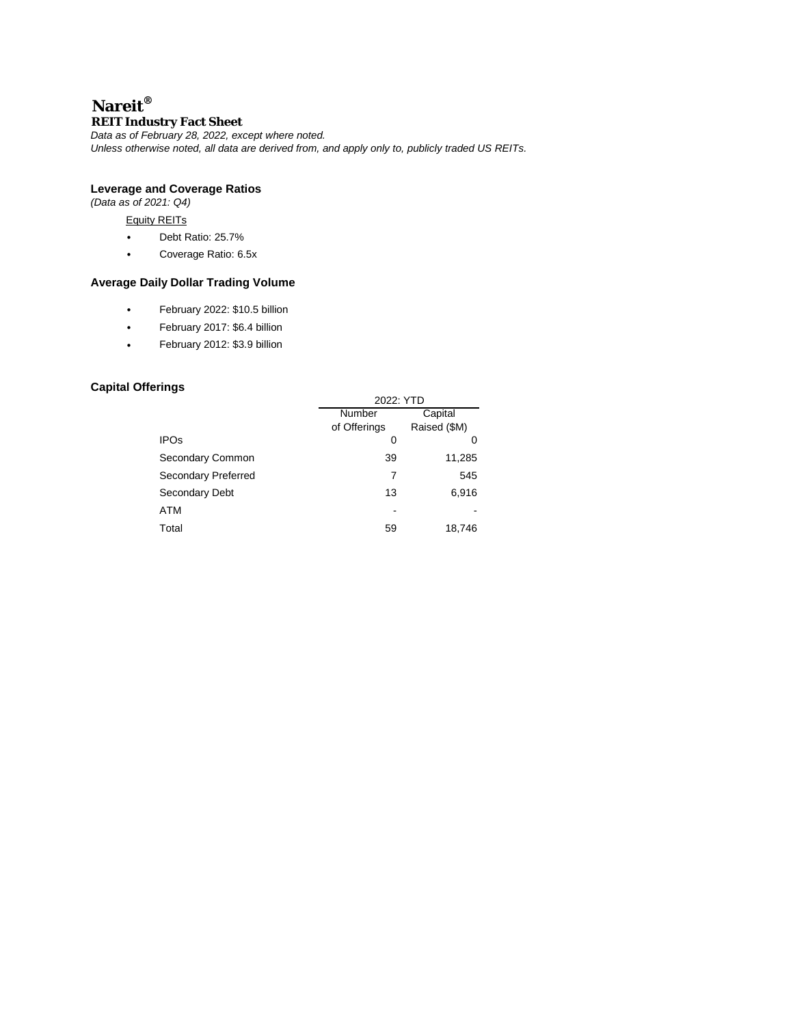## **Nareit® REIT Industry Fact Sheet**

*Data as of February 28, 2022, except where noted.*

*Unless otherwise noted, all data are derived from, and apply only to, publicly traded US REITs.*

#### **Leverage and Coverage Ratios**

*(Data as of 2021: Q4)*

#### Equity REITs

- Debt Ratio: 25.7%  $\ddot{\phantom{a}}$
- Coverage Ratio: 6.5x l.

### **Average Daily Dollar Trading Volume**

- $\hat{\mathbf{r}}$ February 2022: \$10.5 billion
- February 2017: \$6.4 billion  $\overline{\phantom{a}}$
- February 2012: \$3.9 billion  $\ddot{\phantom{a}}$

### **Capital Offerings**

|                            | 2022: YTD    |              |  |  |  |  |
|----------------------------|--------------|--------------|--|--|--|--|
|                            | Number       | Capital      |  |  |  |  |
|                            | of Offerings | Raised (\$M) |  |  |  |  |
| <b>IPOs</b>                | 0            | O            |  |  |  |  |
| Secondary Common           | 39           | 11,285       |  |  |  |  |
| <b>Secondary Preferred</b> | 7            | 545          |  |  |  |  |
| Secondary Debt             | 13           | 6,916        |  |  |  |  |
| ATM                        |              |              |  |  |  |  |
| Total                      | 59           | 18,746       |  |  |  |  |
|                            |              |              |  |  |  |  |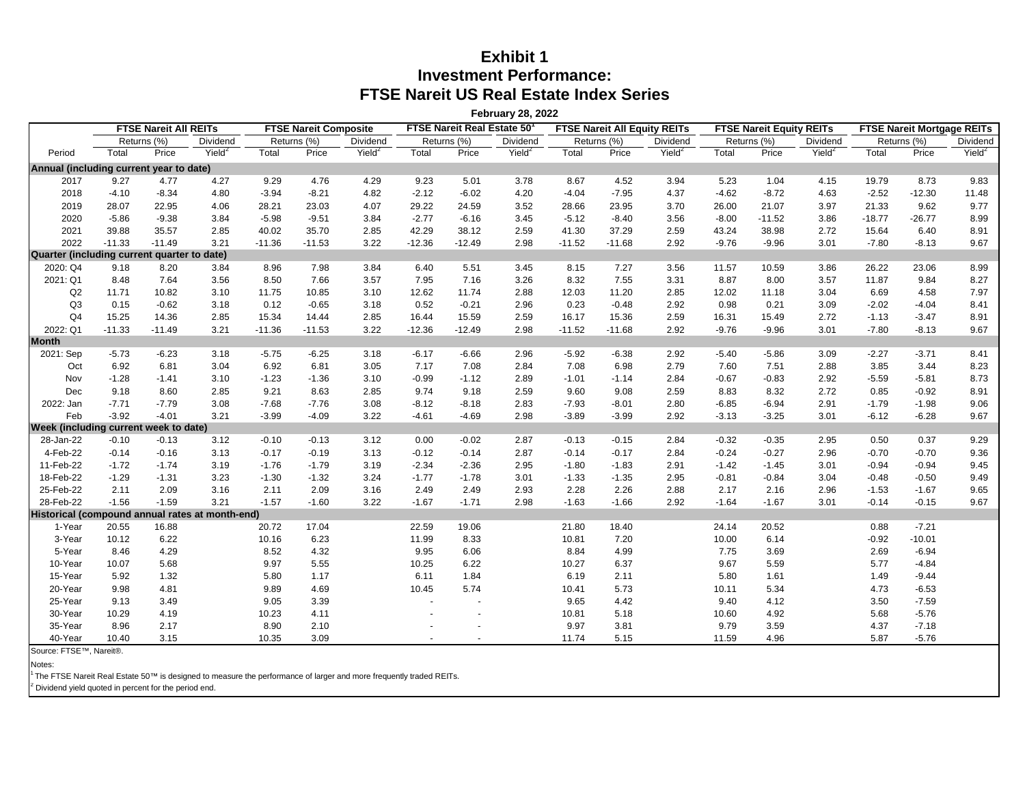## **Exhibit 1 Investment Performance: FTSE Nareit US Real Estate Index Series**

**February 28, 2022**

**FTSE Nareit All REITs FTSE Nareit Composite FTSE Nareit Real Estate 501 FTSE Nareit All Equity REITs FTSE Nareit Equity REITs FTSE Nareit Mortgage REITs** Returns (%) Dividend Returns (%) Dividend Returns (%) Dividend Returns (%) Dividend Returns (%) Dividend Returns (%) Dividend Period Total Price Yield<sup>2</sup> Total Price Yield<sup>2</sup> Total Price Yield<sup>2</sup> Total Price Yield<sup>2</sup> Total Price Yield<sup>2</sup> Total Price Yield<sup>2</sup> **Annual (including current year to date)** 2017 9.27 4.77 4.27 9.29 4.76 4.29 9.23 5.01 3.78 8.67 4.52 3.94 5.23 1.04 4.15 19.79 8.73 9.83 2018 -4.10 -8.34 4.80 -3.94 -8.21 4.82 -2.12 -6.02 4.20 -4.04 -7.95 4.37 -4.62 -8.72 4.63 -2.52 -12.30 11.48 2019 28.07 22.95 4.06 28.21 23.03 4.07 29.22 24.59 3.52 28.66 23.95 3.70 26.00 21.07 3.97 21.33 9.62 9.77 2020 -5.86 -9.38 3.84 -5.98 -9.51 3.84 -2.77 -6.16 3.45 -5.12 -8.40 3.56 -8.00 -11.52 3.86 -18.77 -26.77 8.99 2021 39.88 35.57 2.85 40.02 35.70 2.85 42.29 38.12 2.59 41.30 37.29 2.59 43.24 38.98 2.72 15.64 6.40 8.91 2022 -11.33 -11.49 3.21 -11.36 -11.53 3.22 -12.36 -12.49 2.98 -11.52 -11.68 2.92 -9.76 -9.96 3.01 -7.80 -8.13 9.67 **Quarter (including current quarter to date)** 2020: Q4 9.18 8.20 3.84 8.96 7.98 3.84 6.40 5.51 3.45 8.15 7.27 3.56 11.57 10.59 3.86 26.22 23.06 8.99 2021: Q1 8.48 7.64 3.56 8.50 7.66 3.57 7.95 7.16 3.26 8.32 7.55 3.31 8.87 8.00 3.57 11.87 9.84 8.27 Q2 11.71 10.82 3.10 11.75 10.85 3.10 12.62 11.74 2.88 12.03 11.20 2.85 12.02 11.18 3.04 6.69 4.58 7.97 Q3 0.15 -0.62 3.18 0.12 -0.65 3.18 0.52 -0.21 2.96 0.23 -0.48 2.92 0.98 0.21 3.09 -2.02 -4.04 8.41 Q4 15.25 14.36 2.85 15.34 14.44 2.85 16.44 15.59 2.59 16.17 15.36 2.59 16.31 15.49 2.72 -1.13 -3.47 8.91 2022: Q1 -11.33 -11.49 3.21 -11.36 -11.53 3.22 -12.36 -12.49 2.98 -11.52 -11.68 2.92 -9.76 -9.96 3.01 -7.80 -8.13 9.67 2021: Sep -5.73 -6.23 3.18 -5.75 -6.25 3.18 -6.17 -6.66 2.96 -5.92 -6.38 2.92 -5.40 -5.86 3.09 -2.27 -3.71 8.41 Oct 6.92 6.81 3.04 6.92 6.81 3.05 7.17 7.08 2.84 7.08 6.98 2.79 7.60 7.51 2.88 3.85 3.44 8.23 Nov -1.28 -1.41 3.10 -1.23 -1.36 3.10 -0.99 -1.12 2.89 -1.01 -1.14 2.84 -0.67 -0.83 2.92 -5.59 -5.81 8.73 Dec 9.18 8.60 2.85 9.21 8.63 2.85 9.74 9.18 2.59 9.60 9.08 2.59 8.83 8.32 2.72 0.85 -0.92 8.91 2022: Jan -7.71 -7.79 3.08 -7.68 -7.76 3.08 -8.12 -8.18 2.83 -7.93 -8.01 2.80 -6.85 -6.94 2.91 -1.79 -1.98 9.06 Feb -3.92 -4.01 3.21 -3.99 -4.09 3.22 -4.61 -4.69 2.98 -3.89 -3.99 2.92 -3.13 -3.25 3.01 -6.12 -6.28 9.67 **Week (including current week to date)** 28-Jan-22 -0.10 -0.13 3.12 -0.10 -0.13 3.12 0.00 -0.02 2.87 -0.13 -0.15 2.84 -0.32 -0.35 2.95 0.50 0.37 9.29

4-Feb-22 -0.14 -0.16 3.13 -0.17 -0.19 3.13 -0.12 -0.14 2.87 -0.14 -0.17 2.84 -0.24 -0.27 2.96 -0.70 -0.70 9.36 11-Feb-22 -1.72 -1.74 3.19 -1.76 -1.79 3.19 -2.34 -2.36 2.95 -1.80 -1.83 2.91 -1.42 -1.45 3.01 -0.94 -0.94 9.45 18-Feb-22 -1.29 -1.31 3.23 -1.30 -1.32 3.24 -1.77 -1.78 3.01 -1.33 -1.35 2.95 -0.81 -0.84 3.04 -0.48 -0.50 9.49 25-Feb-22 2.11 2.09 3.16 2.11 2.09 3.16 2.49 2.49 2.93 2.28 2.26 2.88 2.17 2.16 2.96 -1.53 -1.67 9.65 28-Feb-22 -1.56 -1.59 3.21 -1.57 -1.60 3.22 -1.67 -1.71 2.98 -1.63 -1.66 2.92 -1.64 -1.67 3.01 -0.14 -0.15 9.67

1-Year 20.55 16.88 20.72 17.04 22.59 19.06 21.80 18.40 24.14 20.52 0.88 -7.21 3-Year 10.12 6.22 10.16 6.23 11.99 8.33 10.81 7.20 10.00 6.14 -0.92 -10.01 5-Year 8.46 4.29 8.52 4.32 9.95 6.06 8.84 4.99 7.75 3.69 2.69 -6.94 10-Year 10.07 5.68 9.97 5.55 10.25 6.22 10.27 6.37 9.67 5.59 5.77 -4.84 15-Year 5.92 1.32 5.80 1.17 6.11 1.84 6.19 2.11 5.80 1.61 1.49 -9.44 20-Year 9.98 4.81 9.89 4.69 10.45 5.74 10.41 5.73 10.11 5.34 4.73 -6.53

25-Year 9.13 3.49 9.05 3.39 - - 9.65 4.42 9.40 4.12 3.50 -7.59 30-Year 10.29 4.19 10.23 4.11 - - 10.81 5.18 10.60 4.92 5.68 -5.76 35-Year 8.96 2.17 8.90 2.10 - - 9.97 3.81 9.79 3.59 4.37 -7.18 40-Year 10.40 3.15 10.35 3.09 - - 11.74 5.15 11.59 4.96 5.87 -5.76

Source: FTSE™, Nareit®.

Notes:

**Month**

The FTSE Nareit Real Estate 50™ is designed to measure the performance of larger and more frequently traded REITs.

<sup>2</sup> Dividend yield quoted in percent for the period end.

**Historical (compound annual rates at month-end)**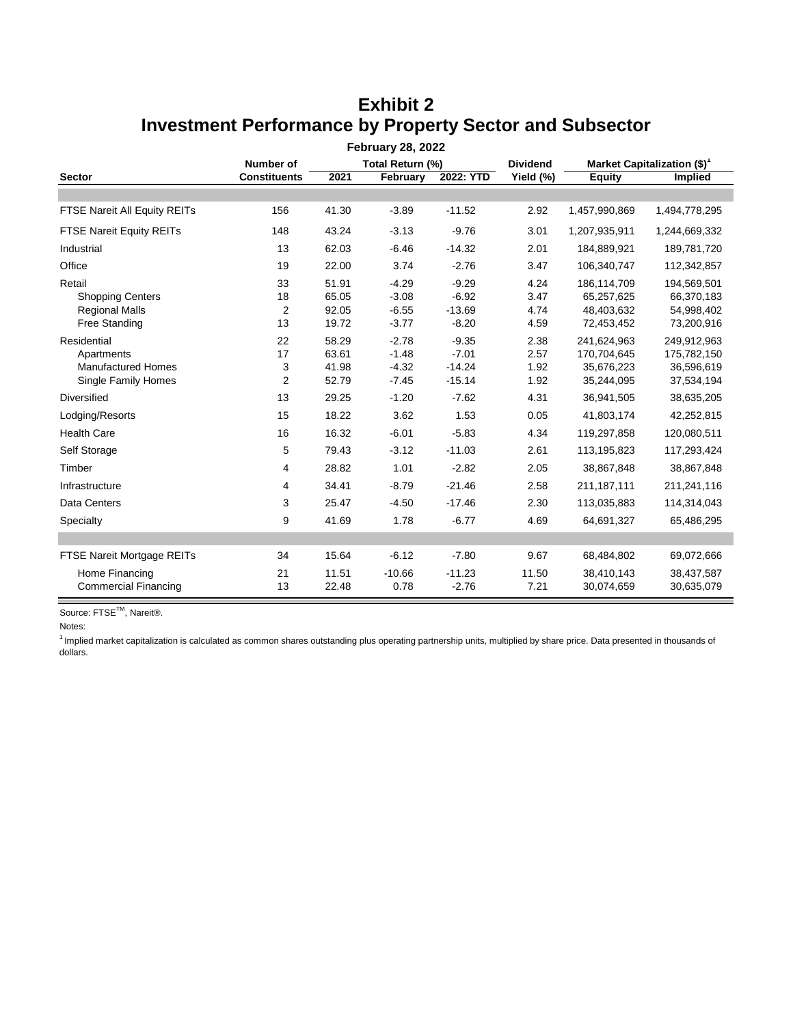| <b>February 28, 2022</b>        |                                      |       |          |           |           |                                         |                |  |
|---------------------------------|--------------------------------------|-------|----------|-----------|-----------|-----------------------------------------|----------------|--|
|                                 | <b>Number of</b><br>Total Return (%) |       |          |           |           | Market Capitalization (\$) <sup>1</sup> |                |  |
| <b>Sector</b>                   | <b>Constituents</b>                  | 2021  | February | 2022: YTD | Yield (%) | <b>Equity</b>                           | <b>Implied</b> |  |
|                                 |                                      |       |          |           |           |                                         |                |  |
| FTSE Nareit All Equity REITs    | 156                                  | 41.30 | $-3.89$  | $-11.52$  | 2.92      | 1,457,990,869                           | 1,494,778,295  |  |
| <b>FTSE Nareit Equity REITs</b> | 148                                  | 43.24 | $-3.13$  | $-9.76$   | 3.01      | 1,207,935,911                           | 1,244,669,332  |  |
| Industrial                      | 13                                   | 62.03 | $-6.46$  | $-14.32$  | 2.01      | 184,889,921                             | 189,781,720    |  |
| Office                          | 19                                   | 22.00 | 3.74     | $-2.76$   | 3.47      | 106,340,747                             | 112,342,857    |  |
| Retail                          | 33                                   | 51.91 | $-4.29$  | $-9.29$   | 4.24      | 186,114,709                             | 194,569,501    |  |
| <b>Shopping Centers</b>         | 18                                   | 65.05 | $-3.08$  | $-6.92$   | 3.47      | 65,257,625                              | 66,370,183     |  |
| <b>Regional Malls</b>           | $\overline{2}$                       | 92.05 | $-6.55$  | $-13.69$  | 4.74      | 48,403,632                              | 54,998,402     |  |
| <b>Free Standing</b>            | 13                                   | 19.72 | $-3.77$  | $-8.20$   | 4.59      | 72,453,452                              | 73,200,916     |  |
| Residential                     | 22                                   | 58.29 | $-2.78$  | $-9.35$   | 2.38      | 241,624,963                             | 249,912,963    |  |
| Apartments                      | 17                                   | 63.61 | $-1.48$  | $-7.01$   | 2.57      | 170,704,645                             | 175,782,150    |  |
| <b>Manufactured Homes</b>       | 3                                    | 41.98 | $-4.32$  | $-14.24$  | 1.92      | 35,676,223                              | 36,596,619     |  |
| Single Family Homes             | 2                                    | 52.79 | $-7.45$  | $-15.14$  | 1.92      | 35,244,095                              | 37,534,194     |  |
| Diversified                     | 13                                   | 29.25 | $-1.20$  | $-7.62$   | 4.31      | 36,941,505                              | 38,635,205     |  |
| Lodging/Resorts                 | 15                                   | 18.22 | 3.62     | 1.53      | 0.05      | 41,803,174                              | 42,252,815     |  |
| <b>Health Care</b>              | 16                                   | 16.32 | $-6.01$  | $-5.83$   | 4.34      | 119,297,858                             | 120,080,511    |  |
| Self Storage                    | 5                                    | 79.43 | $-3.12$  | $-11.03$  | 2.61      | 113,195,823                             | 117,293,424    |  |
| Timber                          | 4                                    | 28.82 | 1.01     | $-2.82$   | 2.05      | 38,867,848                              | 38,867,848     |  |
| Infrastructure                  | 4                                    | 34.41 | $-8.79$  | $-21.46$  | 2.58      | 211,187,111                             | 211,241,116    |  |
| Data Centers                    | 3                                    | 25.47 | $-4.50$  | $-17.46$  | 2.30      | 113,035,883                             | 114,314,043    |  |
| Specialty                       | 9                                    | 41.69 | 1.78     | $-6.77$   | 4.69      | 64,691,327                              | 65,486,295     |  |
|                                 |                                      |       |          |           |           |                                         |                |  |
| FTSE Nareit Mortgage REITs      | 34                                   | 15.64 | $-6.12$  | $-7.80$   | 9.67      | 68,484,802                              | 69,072,666     |  |
| Home Financing                  | 21                                   | 11.51 | $-10.66$ | $-11.23$  | 11.50     | 38,410,143                              | 38,437,587     |  |
| <b>Commercial Financing</b>     | 13                                   | 22.48 | 0.78     | $-2.76$   | 7.21      | 30,074,659                              | 30,635,079     |  |

# **Exhibit 2 Investment Performance by Property Sector and Subsector**

Source: FTSE<sup>™</sup>, Nareit®.

Notes:

 $<sup>1</sup>$  Implied market capitalization is calculated as common shares outstanding plus operating partnership units, multiplied by share price. Data presented in thousands of</sup> dollars.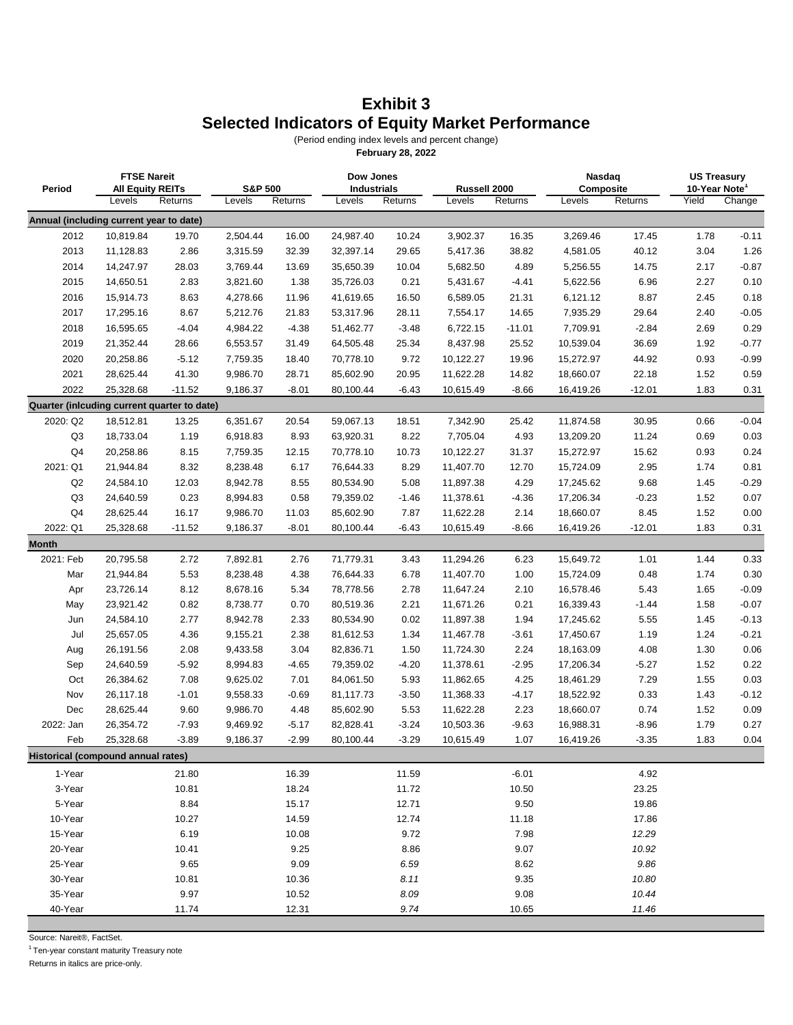## **Exhibit 3 Selected Indicators of Equity Market Performance**

(Period ending index levels and percent change)

**February 28, 2022**

| Period                                      | <b>FTSE Nareit</b><br><b>All Equity REITs</b> |          | <b>S&amp;P 500</b> |         | Dow Jones<br><b>Industrials</b> |         | Russell 2000 |          | Nasdaq<br>Composite |          | <b>US Treasury</b><br>10-Year Note <sup>1</sup> |         |
|---------------------------------------------|-----------------------------------------------|----------|--------------------|---------|---------------------------------|---------|--------------|----------|---------------------|----------|-------------------------------------------------|---------|
|                                             | Levels                                        | Returns  | Levels             | Returns | Levels                          | Returns | Levels       | Returns  | Levels              | Returns  | Yield                                           | Change  |
| Annual (including current year to date)     |                                               |          |                    |         |                                 |         |              |          |                     |          |                                                 |         |
| 2012                                        | 10,819.84                                     | 19.70    | 2,504.44           | 16.00   | 24,987.40                       | 10.24   | 3,902.37     | 16.35    | 3,269.46            | 17.45    | 1.78                                            | $-0.11$ |
| 2013                                        | 11,128.83                                     | 2.86     | 3,315.59           | 32.39   | 32,397.14                       | 29.65   | 5,417.36     | 38.82    | 4,581.05            | 40.12    | 3.04                                            | 1.26    |
| 2014                                        | 14,247.97                                     | 28.03    | 3,769.44           | 13.69   | 35,650.39                       | 10.04   | 5,682.50     | 4.89     | 5,256.55            | 14.75    | 2.17                                            | $-0.87$ |
| 2015                                        | 14,650.51                                     | 2.83     | 3,821.60           | 1.38    | 35,726.03                       | 0.21    | 5,431.67     | $-4.41$  | 5,622.56            | 6.96     | 2.27                                            | 0.10    |
| 2016                                        | 15,914.73                                     | 8.63     | 4,278.66           | 11.96   | 41,619.65                       | 16.50   | 6,589.05     | 21.31    | 6,121.12            | 8.87     | 2.45                                            | 0.18    |
| 2017                                        | 17,295.16                                     | 8.67     | 5,212.76           | 21.83   | 53,317.96                       | 28.11   | 7,554.17     | 14.65    | 7,935.29            | 29.64    | 2.40                                            | $-0.05$ |
| 2018                                        | 16,595.65                                     | $-4.04$  | 4,984.22           | $-4.38$ | 51,462.77                       | $-3.48$ | 6,722.15     | $-11.01$ | 7,709.91            | $-2.84$  | 2.69                                            | 0.29    |
| 2019                                        | 21,352.44                                     | 28.66    | 6,553.57           | 31.49   | 64,505.48                       | 25.34   | 8,437.98     | 25.52    | 10,539.04           | 36.69    | 1.92                                            | $-0.77$ |
| 2020                                        | 20,258.86                                     | $-5.12$  | 7,759.35           | 18.40   | 70,778.10                       | 9.72    | 10,122.27    | 19.96    | 15,272.97           | 44.92    | 0.93                                            | $-0.99$ |
| 2021                                        | 28,625.44                                     | 41.30    | 9,986.70           | 28.71   | 85,602.90                       | 20.95   | 11,622.28    | 14.82    | 18,660.07           | 22.18    | 1.52                                            | 0.59    |
| 2022                                        | 25,328.68                                     | $-11.52$ | 9,186.37           | $-8.01$ | 80,100.44                       | $-6.43$ | 10,615.49    | $-8.66$  | 16,419.26           | $-12.01$ | 1.83                                            | 0.31    |
| Quarter (inlcuding current quarter to date) |                                               |          |                    |         |                                 |         |              |          |                     |          |                                                 |         |
| 2020: Q2                                    | 18,512.81                                     | 13.25    | 6,351.67           | 20.54   | 59,067.13                       | 18.51   | 7,342.90     | 25.42    | 11,874.58           | 30.95    | 0.66                                            | $-0.04$ |
| Q3                                          | 18,733.04                                     | 1.19     | 6,918.83           | 8.93    | 63,920.31                       | 8.22    | 7,705.04     | 4.93     | 13,209.20           | 11.24    | 0.69                                            | 0.03    |
| Q4                                          | 20,258.86                                     | 8.15     | 7,759.35           | 12.15   | 70,778.10                       | 10.73   | 10,122.27    | 31.37    | 15,272.97           | 15.62    | 0.93                                            | 0.24    |
| 2021: Q1                                    | 21,944.84                                     | 8.32     | 8,238.48           | 6.17    | 76,644.33                       | 8.29    | 11,407.70    | 12.70    | 15,724.09           | 2.95     | 1.74                                            | 0.81    |
| Q2                                          | 24,584.10                                     | 12.03    | 8,942.78           | 8.55    | 80,534.90                       | 5.08    | 11,897.38    | 4.29     | 17,245.62           | 9.68     | 1.45                                            | $-0.29$ |
| Q <sub>3</sub>                              | 24,640.59                                     | 0.23     | 8,994.83           | 0.58    | 79,359.02                       | $-1.46$ | 11,378.61    | $-4.36$  | 17,206.34           | $-0.23$  | 1.52                                            | 0.07    |
| Q4                                          | 28,625.44                                     | 16.17    | 9,986.70           | 11.03   | 85,602.90                       | 7.87    | 11,622.28    | 2.14     | 18,660.07           | 8.45     | 1.52                                            | 0.00    |
| 2022: Q1                                    | 25,328.68                                     | $-11.52$ | 9,186.37           | $-8.01$ | 80,100.44                       | $-6.43$ | 10,615.49    | $-8.66$  | 16,419.26           | $-12.01$ | 1.83                                            | 0.31    |
| <b>Month</b>                                |                                               |          |                    |         |                                 |         |              |          |                     |          |                                                 |         |
| 2021: Feb                                   | 20,795.58                                     | 2.72     | 7,892.81           | 2.76    | 71,779.31                       | 3.43    | 11,294.26    | 6.23     | 15,649.72           | 1.01     | 1.44                                            | 0.33    |
| Mar                                         | 21,944.84                                     | 5.53     | 8,238.48           | 4.38    | 76,644.33                       | 6.78    | 11,407.70    | 1.00     | 15,724.09           | 0.48     | 1.74                                            | 0.30    |
| Apr                                         | 23,726.14                                     | 8.12     | 8,678.16           | 5.34    | 78,778.56                       | 2.78    | 11,647.24    | 2.10     | 16,578.46           | 5.43     | 1.65                                            | $-0.09$ |
| May                                         | 23,921.42                                     | 0.82     | 8,738.77           | 0.70    | 80,519.36                       | 2.21    | 11,671.26    | 0.21     | 16,339.43           | $-1.44$  | 1.58                                            | $-0.07$ |
| Jun                                         | 24,584.10                                     | 2.77     | 8,942.78           | 2.33    | 80,534.90                       | 0.02    | 11,897.38    | 1.94     | 17,245.62           | 5.55     | 1.45                                            | $-0.13$ |
| Jul                                         | 25,657.05                                     | 4.36     | 9,155.21           | 2.38    | 81,612.53                       | 1.34    | 11,467.78    | $-3.61$  | 17,450.67           | 1.19     | 1.24                                            | $-0.21$ |
| Aug                                         | 26,191.56                                     | 2.08     | 9,433.58           | 3.04    | 82,836.71                       | 1.50    | 11,724.30    | 2.24     | 18,163.09           | 4.08     | 1.30                                            | 0.06    |
| Sep                                         | 24,640.59                                     | $-5.92$  | 8,994.83           | $-4.65$ | 79,359.02                       | $-4.20$ | 11,378.61    | $-2.95$  | 17,206.34           | $-5.27$  | 1.52                                            | 0.22    |
| Oct                                         | 26,384.62                                     | 7.08     | 9,625.02           | 7.01    | 84,061.50                       | 5.93    | 11,862.65    | 4.25     | 18,461.29           | 7.29     | 1.55                                            | 0.03    |
| Nov                                         | 26,117.18                                     | $-1.01$  | 9,558.33           | $-0.69$ | 81,117.73                       | $-3.50$ | 11,368.33    | $-4.17$  | 18,522.92           | 0.33     | 1.43                                            | $-0.12$ |
| Dec                                         | 28,625.44                                     | 9.60     | 9,986.70           | 4.48    | 85,602.90                       | 5.53    | 11,622.28    | 2.23     | 18,660.07           | 0.74     | 1.52                                            | 0.09    |
| 2022: Jan                                   | 26,354.72                                     | $-7.93$  | 9,469.92           | $-5.17$ | 82,828.41                       | $-3.24$ | 10,503.36    | -9.63    | 16,988.31           | $-8.96$  | 1.79                                            | 0.27    |
| Feb                                         | 25,328.68                                     | $-3.89$  | 9,186.37           | $-2.99$ | 80,100.44                       | $-3.29$ | 10,615.49    | 1.07     | 16,419.26           | $-3.35$  | 1.83                                            | 0.04    |
| Historical (compound annual rates)          |                                               |          |                    |         |                                 |         |              |          |                     |          |                                                 |         |
| 1-Year                                      |                                               | 21.80    |                    | 16.39   |                                 | 11.59   |              | $-6.01$  |                     | 4.92     |                                                 |         |
| 3-Year                                      |                                               | 10.81    |                    | 18.24   |                                 | 11.72   |              | 10.50    |                     | 23.25    |                                                 |         |
| 5-Year                                      |                                               | 8.84     |                    | 15.17   |                                 | 12.71   |              | 9.50     |                     | 19.86    |                                                 |         |
| 10-Year                                     |                                               | 10.27    |                    | 14.59   |                                 | 12.74   |              | 11.18    |                     | 17.86    |                                                 |         |
| 15-Year                                     |                                               | 6.19     |                    | 10.08   |                                 | 9.72    |              | 7.98     |                     | 12.29    |                                                 |         |
| 20-Year                                     |                                               | 10.41    |                    | 9.25    |                                 | 8.86    |              | 9.07     |                     | 10.92    |                                                 |         |
| 25-Year                                     |                                               | 9.65     |                    | 9.09    |                                 | 6.59    |              | 8.62     |                     | 9.86     |                                                 |         |
| 30-Year                                     |                                               | 10.81    |                    | 10.36   |                                 | 8.11    |              | 9.35     |                     | 10.80    |                                                 |         |
| 35-Year                                     |                                               | 9.97     |                    | 10.52   |                                 | 8.09    |              | 9.08     |                     | 10.44    |                                                 |         |
| 40-Year                                     |                                               | 11.74    |                    | 12.31   |                                 | 9.74    |              | 10.65    |                     | 11.46    |                                                 |         |

Source: Nareit®, FactSet.

 $1$  Ten-year constant maturity Treasury note

Returns in italics are price-only.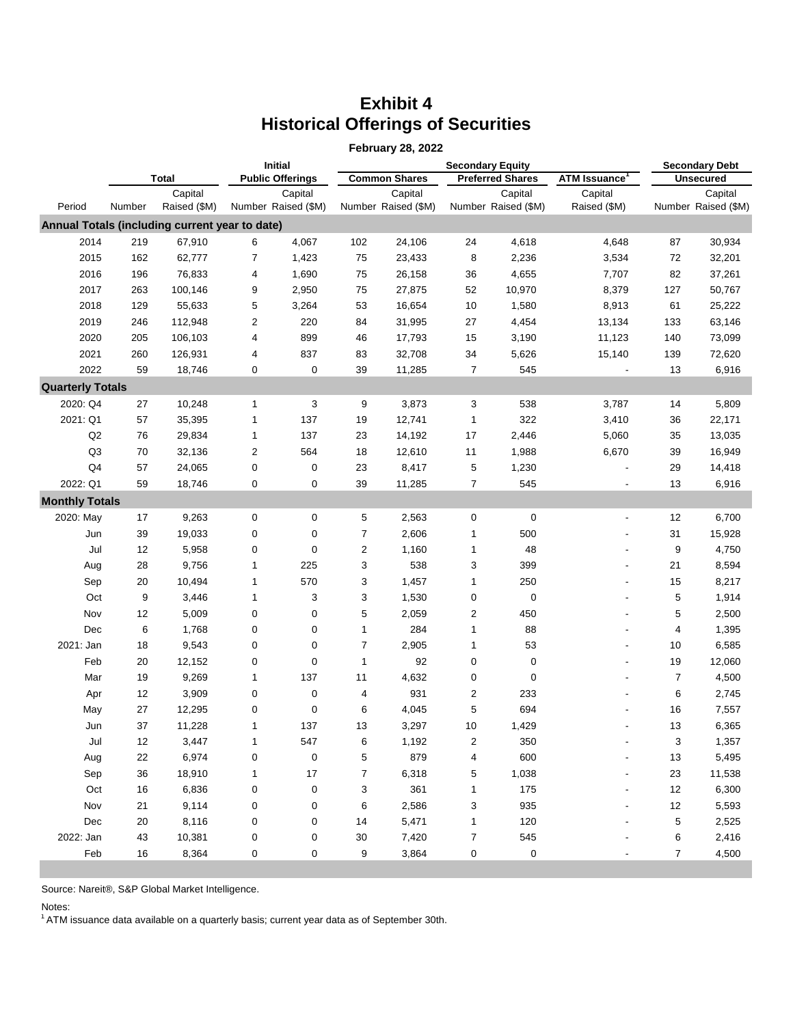# **Exhibit 4 Historical Offerings of Securities**

|                         |              |                                                |                  |                                |                  | <b>February 28, 2022</b>       |                         |                                |                          |                |                                |
|-------------------------|--------------|------------------------------------------------|------------------|--------------------------------|------------------|--------------------------------|-------------------------|--------------------------------|--------------------------|----------------|--------------------------------|
|                         |              |                                                |                  | <b>Initial</b>                 |                  |                                |                         | <b>Secondary Debt</b>          |                          |                |                                |
|                         | <b>Total</b> |                                                |                  | <b>Public Offerings</b>        |                  | <b>Common Shares</b>           |                         | <b>Preferred Shares</b>        | <b>ATM Issuance</b>      |                | <b>Unsecured</b>               |
| Period                  | Number       | Capital<br>Raised (\$M)                        |                  | Capital<br>Number Raised (\$M) |                  | Capital<br>Number Raised (\$M) |                         | Capital<br>Number Raised (\$M) | Capital<br>Raised (\$M)  |                | Capital<br>Number Raised (\$M) |
|                         |              | Annual Totals (including current year to date) |                  |                                |                  |                                |                         |                                |                          |                |                                |
| 2014                    | 219          | 67,910                                         | 6                | 4,067                          | 102              | 24,106                         | 24                      | 4,618                          | 4,648                    | 87             | 30,934                         |
| 2015                    | 162          | 62,777                                         | 7                | 1,423                          | 75               | 23,433                         | 8                       | 2,236                          | 3,534                    | 72             | 32,201                         |
| 2016                    | 196          | 76,833                                         | 4                | 1,690                          | 75               | 26,158                         | 36                      | 4,655                          | 7,707                    | 82             | 37,261                         |
| 2017                    | 263          | 100,146                                        | 9                | 2,950                          | 75               | 27,875                         | 52                      | 10,970                         | 8,379                    | 127            | 50,767                         |
| 2018                    | 129          | 55,633                                         | 5                | 3,264                          | 53               | 16,654                         | 10                      | 1,580                          | 8,913                    | 61             | 25,222                         |
| 2019                    | 246          | 112,948                                        | 2                | 220                            | 84               | 31,995                         | 27                      | 4,454                          | 13,134                   | 133            | 63,146                         |
| 2020                    | 205          | 106,103                                        | 4                | 899                            | 46               | 17,793                         | 15                      | 3,190                          | 11,123                   | 140            | 73,099                         |
| 2021                    | 260          | 126,931                                        | 4                | 837                            | 83               | 32,708                         | 34                      | 5,626                          | 15,140                   | 139            | 72,620                         |
| 2022                    | 59           | 18,746                                         | 0                | 0                              | 39               | 11,285                         | $\overline{7}$          | 545                            | $\blacksquare$           | 13             | 6,916                          |
| <b>Quarterly Totals</b> |              |                                                |                  |                                |                  |                                |                         |                                |                          |                |                                |
| 2020: Q4                | 27           | 10,248                                         | 1                | 3                              | 9                | 3,873                          | 3                       | 538                            | 3,787                    | 14             | 5,809                          |
| 2021: Q1                | 57           | 35,395                                         | 1                | 137                            | 19               | 12,741                         | $\mathbf{1}$            | 322                            | 3,410                    | 36             | 22,171                         |
| Q2                      | 76           | 29,834                                         | 1                | 137                            | 23               | 14,192                         | 17                      | 2,446                          | 5,060                    | 35             | 13,035                         |
| Q <sub>3</sub>          | 70           | 32,136                                         | 2                | 564                            | 18               | 12,610                         | 11                      | 1,988                          | 6,670                    | 39             | 16,949                         |
| Q <sub>4</sub>          | 57           | 24,065                                         | 0                | 0                              | 23               | 8,417                          | 5                       | 1,230                          |                          | 29             | 14,418                         |
| 2022: Q1                | 59           | 18,746                                         | 0                | 0                              | 39               | 11,285                         | $\overline{7}$          | 545                            |                          | 13             | 6,916                          |
| <b>Monthly Totals</b>   |              |                                                |                  |                                |                  |                                |                         |                                |                          |                |                                |
| 2020: May               | 17           | 9,263                                          | $\boldsymbol{0}$ | 0                              | 5                | 2,563                          | $\pmb{0}$               | $\pmb{0}$                      | $\overline{\phantom{a}}$ | 12             | 6,700                          |
| Jun                     | 39           | 19,033                                         | 0                | 0                              | 7                | 2,606                          | 1                       | 500                            |                          | 31             | 15,928                         |
| Jul                     | 12           | 5,958                                          | 0                | 0                              | $\boldsymbol{2}$ | 1,160                          | $\mathbf{1}$            | 48                             |                          | 9              | 4,750                          |
| Aug                     | 28           | 9,756                                          | 1                | 225                            | 3                | 538                            | 3                       | 399                            |                          | 21             | 8,594                          |
| Sep                     | 20           | 10,494                                         | 1                | 570                            | 3                | 1,457                          | $\mathbf{1}$            | 250                            |                          | 15             | 8,217                          |
| Oct                     | 9            | 3,446                                          | 1                | 3                              | 3                | 1,530                          | 0                       | $\pmb{0}$                      |                          | 5              | 1,914                          |
| Nov                     | 12           | 5,009                                          | 0                | $\pmb{0}$                      | 5                | 2,059                          | $\boldsymbol{2}$        | 450                            |                          | 5              | 2,500                          |
| Dec                     | 6            | 1,768                                          | 0                | 0                              | 1                | 284                            | 1                       | 88                             |                          | $\overline{4}$ | 1,395                          |
| 2021: Jan               | 18           | 9,543                                          | 0                | 0                              | $\overline{7}$   | 2,905                          | 1                       | 53                             |                          | 10             | 6,585                          |
| Feb                     | 20           | 12,152                                         | 0                | 0                              | $\mathbf 1$      | 92                             | 0                       | 0                              |                          | 19             | 12,060                         |
| Mar                     | 19           | 9,269                                          | 1                | 137                            | 11               | 4,632                          | 0                       | 0                              |                          | $\overline{7}$ | 4,500                          |
| Apr                     | 12           | 3,909                                          | $\mathbf 0$      | 0                              | 4                | 931                            | 2                       | 233                            |                          | 6              | 2,745                          |
| May                     | 27           | 12,295                                         | 0                | 0                              | 6                | 4,045                          | 5                       | 694                            |                          | 16             | 7,557                          |
| Jun                     | 37           | 11,228                                         | 1                | 137                            | 13               | 3,297                          | 10                      | 1,429                          |                          | 13             | 6,365                          |
| Jul                     | 12           | 3,447                                          | 1                | 547                            | 6                | 1,192                          | $\overline{\mathbf{c}}$ | 350                            |                          | 3              | 1,357                          |
| Aug                     | 22           | 6,974                                          | 0                | 0                              | $\mathbf 5$      | 879                            | $\overline{\mathbf{4}}$ | 600                            |                          | 13             | 5,495                          |
| Sep                     | 36           | 18,910                                         | 1                | $17\,$                         | 7                | 6,318                          | 5                       | 1,038                          |                          | 23             | 11,538                         |
| Oct                     | 16           | 6,836                                          | 0                | 0                              | 3                | 361                            | 1                       | 175                            |                          | 12             | 6,300                          |
| Nov                     | 21           | 9,114                                          | 0                | 0                              | 6                | 2,586                          | 3                       | 935                            |                          | 12             | 5,593                          |
| Dec                     | 20           | 8,116                                          | 0                | 0                              | 14               | 5,471                          | 1                       | 120                            |                          | 5              | 2,525                          |
| 2022: Jan               | 43           | 10,381                                         | $\boldsymbol{0}$ | 0                              | 30               | 7,420                          | $\boldsymbol{7}$        | 545                            |                          | 6              | 2,416                          |
| Feb                     | 16           | 8,364                                          | 0                | 0                              | 9                | 3,864                          | $\pmb{0}$               | 0                              |                          | $\overline{7}$ | 4,500                          |

Source: Nareit®, S&P Global Market Intelligence.

Notes:

 $1$  ATM issuance data available on a quarterly basis; current year data as of September 30th.